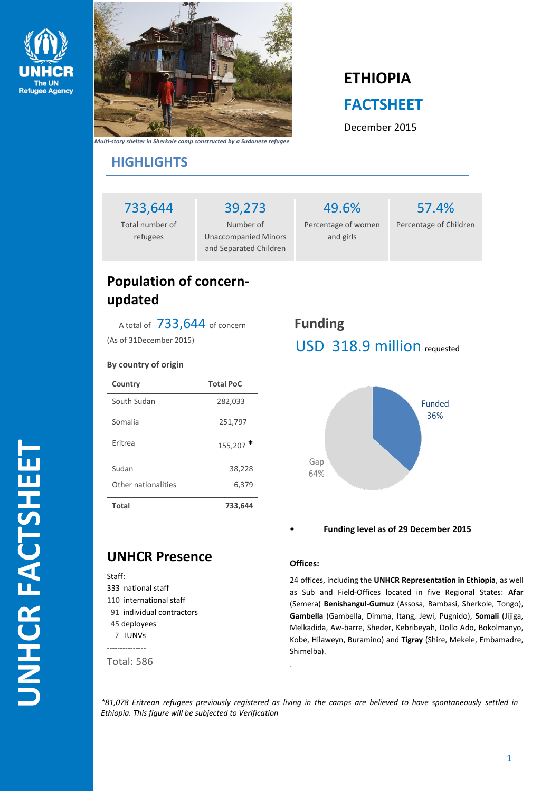



#### *Multi-story shelter in Sherkole camp constructed by a Sudanese refugee*

# **ETHIOPIA FACTSHEET**

December 2015

## **HIGHLIGHTS**

733,644

Total number of refugees

Number of Unaccompanied Minors and Separated Children

39,273

## 49.6% Percentage of women and girls

57.4% Percentage of Children

## **Population of concernupdated**

A total of 733,644 of concern (As of 31December 2015)

#### **By country of origin**

| Country             | <b>Total PoC</b> |
|---------------------|------------------|
| South Sudan         | 282,033          |
| Somalia             | 251,797          |
| Eritrea             | $155,207$ *      |
| Sudan               | 38,228           |
| Other nationalities | 6,379            |
| Total               | 733,644          |

# **Funding** USD 318.9 million requested



**• Funding level as of 29 December 2015**

## **UNHCR Presence**

### Staff: 333 national staff 110 international staff

- 91 individual contractors 45 deployees 7 IUNVs
- ---------------

Total: 586

### **Offices:**

24 offices, including the **UNHCR Representation in Ethiopia**, as well as Sub and Field-Offices located in five Regional States: **Afar** (Semera) **Benishangul-Gumuz** (Assosa, Bambasi, Sherkole, Tongo), **Gambella** (Gambella, Dimma, Itang, Jewi, Pugnido), **Somali** (Jijiga, Melkadida, Aw-barre, Sheder, Kebribeyah, Dollo Ado, Bokolmanyo, Kobe, Hilaweyn, Buramino) and **Tigray** (Shire, Mekele, Embamadre, Shimelba).

*\*81,078 Eritrean refugees previously registered as living in the camps are believed to have spontaneously settled in Ethiopia. This figure will be subjected to Verification*

.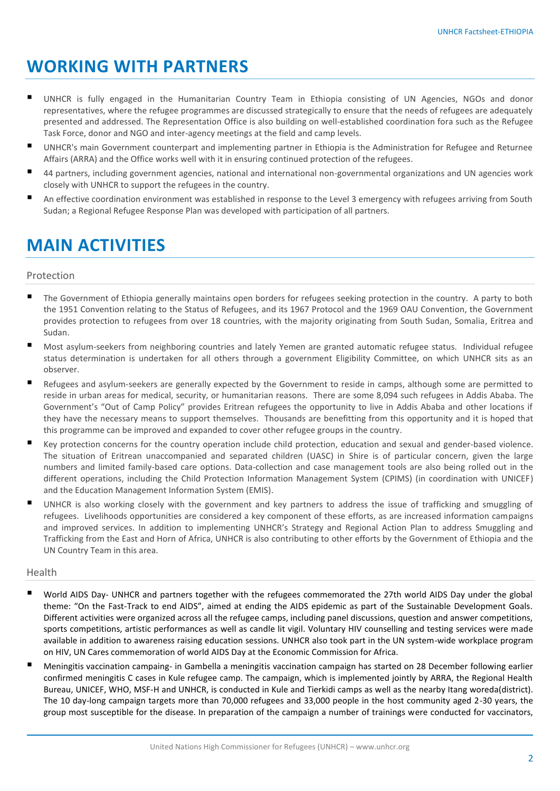# **WORKING WITH PARTNERS**

- UNHCR is fully engaged in the Humanitarian Country Team in Ethiopia consisting of UN Agencies, NGOs and donor representatives, where the refugee programmes are discussed strategically to ensure that the needs of refugees are adequately presented and addressed. The Representation Office is also building on well-established coordination fora such as the Refugee Task Force, donor and NGO and inter-agency meetings at the field and camp levels.
- UNHCR's main Government counterpart and implementing partner in Ethiopia is the Administration for Refugee and Returnee Affairs (ARRA) and the Office works well with it in ensuring continued protection of the refugees.
- 44 partners, including government agencies, national and international non-governmental organizations and UN agencies work closely with UNHCR to support the refugees in the country.
- An effective coordination environment was established in response to the Level 3 emergency with refugees arriving from South Sudan; a Regional Refugee Response Plan was developed with participation of all partners.

# **MAIN ACTIVITIES**

#### Protection

- The Government of Ethiopia generally maintains open borders for refugees seeking protection in the country. A party to both the 1951 Convention relating to the Status of Refugees, and its 1967 Protocol and the 1969 OAU Convention, the Government provides protection to refugees from over 18 countries, with the majority originating from South Sudan, Somalia, Eritrea and Sudan.
- Most asylum-seekers from neighboring countries and lately Yemen are granted automatic refugee status. Individual refugee status determination is undertaken for all others through a government Eligibility Committee, on which UNHCR sits as an observer.
- Refugees and asylum-seekers are generally expected by the Government to reside in camps, although some are permitted to reside in urban areas for medical, security, or humanitarian reasons. There are some 8,094 such refugees in Addis Ababa. The Government's "Out of Camp Policy" provides Eritrean refugees the opportunity to live in Addis Ababa and other locations if they have the necessary means to support themselves. Thousands are benefitting from this opportunity and it is hoped that this programme can be improved and expanded to cover other refugee groups in the country.
- Key protection concerns for the country operation include child protection, education and sexual and gender-based violence. The situation of Eritrean unaccompanied and separated children (UASC) in Shire is of particular concern, given the large numbers and limited family-based care options. Data-collection and case management tools are also being rolled out in the different operations, including the Child Protection Information Management System (CPIMS) (in coordination with UNICEF) and the Education Management Information System (EMIS).
- UNHCR is also working closely with the government and key partners to address the issue of trafficking and smuggling of refugees. Livelihoods opportunities are considered a key component of these efforts, as are increased information campaigns and improved services. In addition to implementing UNHCR's Strategy and Regional Action Plan to address Smuggling and Trafficking from the East and Horn of Africa, UNHCR is also contributing to other efforts by the Government of Ethiopia and the UN Country Team in this area.

#### Health

- World AIDS Day- UNHCR and partners together with the refugees commemorated the 27th world AIDS Day under the global theme: "On the Fast-Track to end AIDS", aimed at ending the AIDS epidemic as part of the Sustainable Development Goals. Different activities were organized across all the refugee camps, including panel discussions, question and answer competitions, sports competitions, artistic performances as well as candle lit vigil. Voluntary HIV counselling and testing services were made available in addition to awareness raising education sessions. UNHCR also took part in the UN system-wide workplace program on HIV, UN Cares commemoration of world AIDS Day at the Economic Commission for Africa.
- Meningitis vaccination campaing- in Gambella a meningitis vaccination campaign has started on 28 December following earlier confirmed meningitis C cases in Kule refugee camp. The campaign, which is implemented jointly by ARRA, the Regional Health Bureau, UNICEF, WHO, MSF-H and UNHCR, is conducted in Kule and Tierkidi camps as well as the nearby Itang woreda(district). The 10 day-long campaign targets more than 70,000 refugees and 33,000 people in the host community aged 2-30 years, the group most susceptible for the disease. In preparation of the campaign a number of trainings were conducted for vaccinators,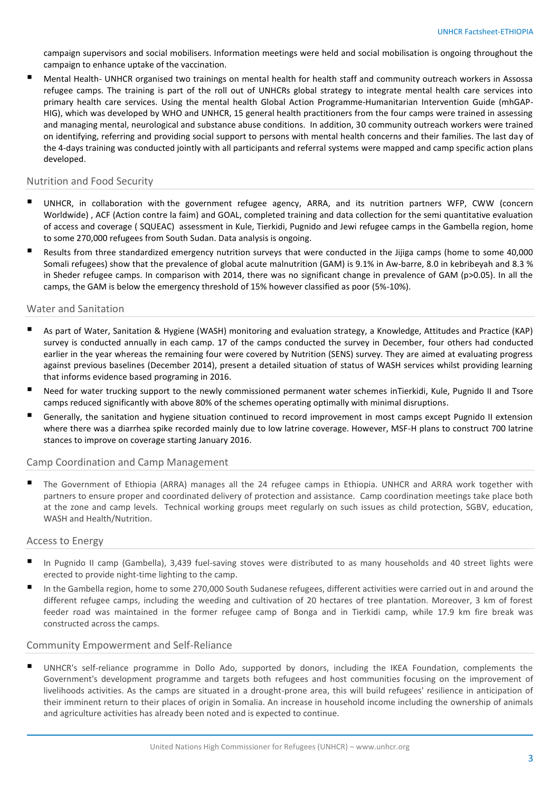campaign supervisors and social mobilisers. Information meetings were held and social mobilisation is ongoing throughout the campaign to enhance uptake of the vaccination.

■ Mental Health- UNHCR organised two trainings on mental health for health staff and community outreach workers in Assossa refugee camps. The training is part of the roll out of UNHCRs global strategy to integrate mental health care services into primary health care services. Using the mental health Global Action Programme-Humanitarian Intervention Guide (mhGAP-HIG), which was developed by WHO and UNHCR, 15 general health practitioners from the four camps were trained in assessing and managing mental, neurological and substance abuse conditions. In addition, 30 community outreach workers were trained on identifying, referring and providing social support to persons with mental health concerns and their families. The last day of the 4-days training was conducted jointly with all participants and referral systems were mapped and camp specific action plans developed.

#### Nutrition and Food Security

- UNHCR, in collaboration with the government refugee agency, ARRA, and its nutrition partners WFP, CWW (concern Worldwide) , ACF (Action contre la faim) and GOAL, completed training and data collection for the semi quantitative evaluation of access and coverage ( SQUEAC) assessment in Kule, Tierkidi, Pugnido and Jewi refugee camps in the Gambella region, home to some 270,000 refugees from South Sudan. Data analysis is ongoing.
- Results from three standardized emergency nutrition surveys that were conducted in the Jijiga camps (home to some 40,000 Somali refugees) show that the prevalence of global acute malnutrition (GAM) is 9.1% in Aw-barre, 8.0 in kebribeyah and 8.3 % in Sheder refugee camps. In comparison with 2014, there was no significant change in prevalence of GAM (p>0.05). In all the camps, the GAM is below the emergency threshold of 15% however classified as poor (5%-10%).

#### Water and Sanitation

- As part of Water, Sanitation & Hygiene (WASH) monitoring and evaluation strategy, a Knowledge, Attitudes and Practice (KAP) survey is conducted annually in each camp. 17 of the camps conducted the survey in December, four others had conducted earlier in the year whereas the remaining four were covered by Nutrition (SENS) survey. They are aimed at evaluating progress against previous baselines (December 2014), present a detailed situation of status of WASH services whilst providing learning that informs evidence based programing in 2016.
- Need for water trucking support to the newly commissioned permanent water schemes inTierkidi, Kule, Pugnido II and Tsore camps reduced significantly with above 80% of the schemes operating optimally with minimal disruptions.
- Generally, the sanitation and hygiene situation continued to record improvement in most camps except Pugnido II extension where there was a diarrhea spike recorded mainly due to low latrine coverage. However, MSF-H plans to construct 700 latrine stances to improve on coverage starting January 2016.

#### Camp Coordination and Camp Management

 The Government of Ethiopia (ARRA) manages all the 24 refugee camps in Ethiopia. UNHCR and ARRA work together with partners to ensure proper and coordinated delivery of protection and assistance. Camp coordination meetings take place both at the zone and camp levels. Technical working groups meet regularly on such issues as child protection, SGBV, education, WASH and Health/Nutrition.

#### Access to Energy

- In Pugnido II camp (Gambella), 3,439 fuel-saving stoves were distributed to as many households and 40 street lights were erected to provide night-time lighting to the camp.
- In the Gambella region, home to some 270,000 South Sudanese refugees, different activities were carried out in and around the different refugee camps, including the weeding and cultivation of 20 hectares of tree plantation. Moreover, 3 km of forest feeder road was maintained in the former refugee camp of Bonga and in Tierkidi camp, while 17.9 km fire break was constructed across the camps.

#### Community Empowerment and Self-Reliance

 UNHCR's self-reliance programme in Dollo Ado, supported by donors, including the IKEA Foundation, complements the Government's development programme and targets both refugees and host communities focusing on the improvement of livelihoods activities. As the camps are situated in a drought-prone area, this will build refugees' resilience in anticipation of their imminent return to their places of origin in Somalia. An increase in household income including the ownership of animals and agriculture activities has already been noted and is expected to continue.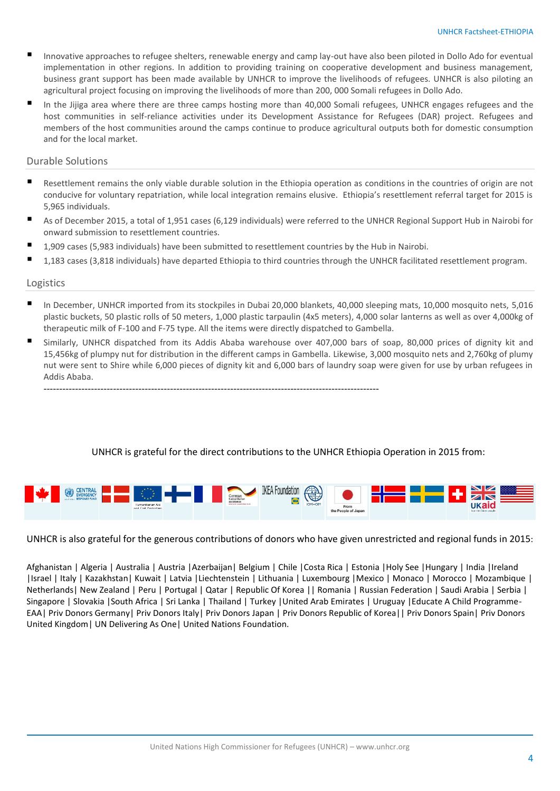- Innovative approaches to refugee shelters, renewable energy and camp lay-out have also been piloted in Dollo Ado for eventual implementation in other regions. In addition to providing training on cooperative development and business management, business grant support has been made available by UNHCR to improve the livelihoods of refugees. UNHCR is also piloting an agricultural project focusing on improving the livelihoods of more than 200, 000 Somali refugees in Dollo Ado.
- In the Jijiga area where there are three camps hosting more than 40,000 Somali refugees, UNHCR engages refugees and the host communities in self-reliance activities under its Development Assistance for Refugees (DAR) project. Refugees and members of the host communities around the camps continue to produce agricultural outputs both for domestic consumption and for the local market.

### Durable Solutions

- Resettlement remains the only viable durable solution in the Ethiopia operation as conditions in the countries of origin are not conducive for voluntary repatriation, while local integration remains elusive. Ethiopia's resettlement referral target for 2015 is 5,965 individuals.
- As of December 2015, a total of 1,951 cases (6,129 individuals) were referred to the UNHCR Regional Support Hub in Nairobi for onward submission to resettlement countries.
- 1,909 cases (5,983 individuals) have been submitted to resettlement countries by the Hub in Nairobi.

----------------------------------------------------------------------------------------------------------

1,183 cases (3,818 individuals) have departed Ethiopia to third countries through the UNHCR facilitated resettlement program.

### Logistics

- In December, UNHCR imported from its stockpiles in Dubai 20,000 blankets, 40,000 sleeping mats, 10,000 mosquito nets, 5,016 plastic buckets, 50 plastic rolls of 50 meters, 1,000 plastic tarpaulin (4x5 meters), 4,000 solar lanterns as well as over 4,000kg of therapeutic milk of F-100 and F-75 type. All the items were directly dispatched to Gambella.
- Similarly, UNHCR dispatched from its Addis Ababa warehouse over 407,000 bars of soap, 80,000 prices of dignity kit and 15,456kg of plumpy nut for distribution in the different camps in Gambella. Likewise, 3,000 mosquito nets and 2,760kg of plumy nut were sent to Shire while 6,000 pieces of dignity kit and 6,000 bars of laundry soap were given for use by urban refugees in Addis Ababa.

### UNHCR is grateful for the direct contributions to the UNHCR Ethiopia Operation in 2015 from:



UNHCR is also grateful for the generous contributions of donors who have given unrestricted and regional funds in 2015:

Afghanistan | Algeria | Australia | Austria |Azerbaijan| Belgium | Chile |Costa Rica | Estonia |Holy See |Hungary | India |Ireland |Israel | Italy | Kazakhstan| Kuwait | Latvia |Liechtenstein | Lithuania | Luxembourg |Mexico | Monaco | Morocco | Mozambique | Netherlands| New Zealand | Peru | Portugal | Qatar | Republic Of Korea || Romania | Russian Federation | Saudi Arabia | Serbia | Singapore | Slovakia |South Africa | Sri Lanka | Thailand | Turkey |United Arab Emirates | Uruguay |Educate A Child Programme-EAA| Priv Donors Germany| Priv Donors Italy| Priv Donors Japan | Priv Donors Republic of Korea|| Priv Donors Spain| Priv Donors United Kingdom| UN Delivering As One| United Nations Foundation.